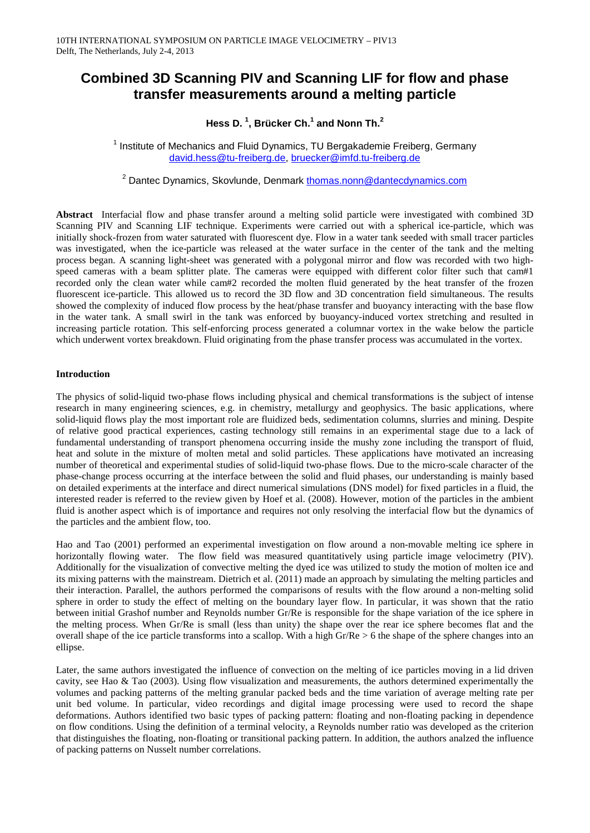# **Combined 3D Scanning PIV and Scanning LIF for flow and phase transfer measurements around a melting particle**

**Hess D. 1 , Brücker Ch.<sup>1</sup> and Nonn Th. 2**

 $1$  Institute of Mechanics and Fluid Dynamics, TU Bergakademie Freiberg, Germany [david.hess@tu-freiberg.de,](mailto:david.hess@tu-freiberg.de) [bruecker@imfd.tu-freiberg.de](mailto:bruecker@imfd.tu-freiberg.de)

<sup>2</sup> Dantec Dynamics, Skovlunde, Denmark [thomas.nonn@dantecdynamics.com](mailto:thomas.nonn@dantecdynamics.com)

**Abstract** Interfacial flow and phase transfer around a melting solid particle were investigated with combined 3D Scanning PIV and Scanning LIF technique. Experiments were carried out with a spherical ice-particle, which was initially shock-frozen from water saturated with fluorescent dye. Flow in a water tank seeded with small tracer particles was investigated, when the ice-particle was released at the water surface in the center of the tank and the melting process began. A scanning light-sheet was generated with a polygonal mirror and flow was recorded with two highspeed cameras with a beam splitter plate. The cameras were equipped with different color filter such that cam#1 recorded only the clean water while cam#2 recorded the molten fluid generated by the heat transfer of the frozen fluorescent ice-particle. This allowed us to record the 3D flow and 3D concentration field simultaneous. The results showed the complexity of induced flow process by the heat/phase transfer and buoyancy interacting with the base flow in the water tank. A small swirl in the tank was enforced by buoyancy-induced vortex stretching and resulted in increasing particle rotation. This self-enforcing process generated a columnar vortex in the wake below the particle which underwent vortex breakdown. Fluid originating from the phase transfer process was accumulated in the vortex.

## **Introduction**

The physics of solid-liquid two-phase flows including physical and chemical transformations is the subject of intense research in many engineering sciences, e.g. in chemistry, metallurgy and geophysics. The basic applications, where solid-liquid flows play the most important role are fluidized beds, sedimentation columns, slurries and mining. Despite of relative good practical experiences, casting technology still remains in an experimental stage due to a lack of fundamental understanding of transport phenomena occurring inside the mushy zone including the transport of fluid, heat and solute in the mixture of molten metal and solid particles. These applications have motivated an increasing number of theoretical and experimental studies of solid-liquid two-phase flows. Due to the micro-scale character of the phase-change process occurring at the interface between the solid and fluid phases, our understanding is mainly based on detailed experiments at the interface and direct numerical simulations (DNS model) for fixed particles in a fluid, the interested reader is referred to the review given by Hoef et al. (2008). However, motion of the particles in the ambient fluid is another aspect which is of importance and requires not only resolving the interfacial flow but the dynamics of the particles and the ambient flow, too.

Hao and Tao (2001) performed an experimental investigation on flow around a non-movable melting ice sphere in horizontally flowing water. The flow field was measured quantitatively using particle image velocimetry (PIV). Additionally for the visualization of convective melting the dyed ice was utilized to study the motion of molten ice and its mixing patterns with the mainstream. Dietrich et al. (2011) made an approach by simulating the melting particles and their interaction. Parallel, the authors performed the comparisons of results with the flow around a non-melting solid sphere in order to study the effect of melting on the boundary layer flow. In particular, it was shown that the ratio between initial Grashof number and Reynolds number Gr/Re is responsible for the shape variation of the ice sphere in the melting process. When Gr/Re is small (less than unity) the shape over the rear ice sphere becomes flat and the overall shape of the ice particle transforms into a scallop. With a high  $Gr/Re > 6$  the shape of the sphere changes into an ellipse.

Later, the same authors investigated the influence of convection on the melting of ice particles moving in a lid driven cavity, see Hao & Tao (2003). Using flow visualization and measurements, the authors determined experimentally the volumes and packing patterns of the melting granular packed beds and the time variation of average melting rate per unit bed volume. In particular, video recordings and digital image processing were used to record the shape deformations. Authors identified two basic types of packing pattern: floating and non-floating packing in dependence on flow conditions. Using the definition of a terminal velocity, a Reynolds number ratio was developed as the criterion that distinguishes the floating, non-floating or transitional packing pattern. In addition, the authors analzed the influence of packing patterns on Nusselt number correlations.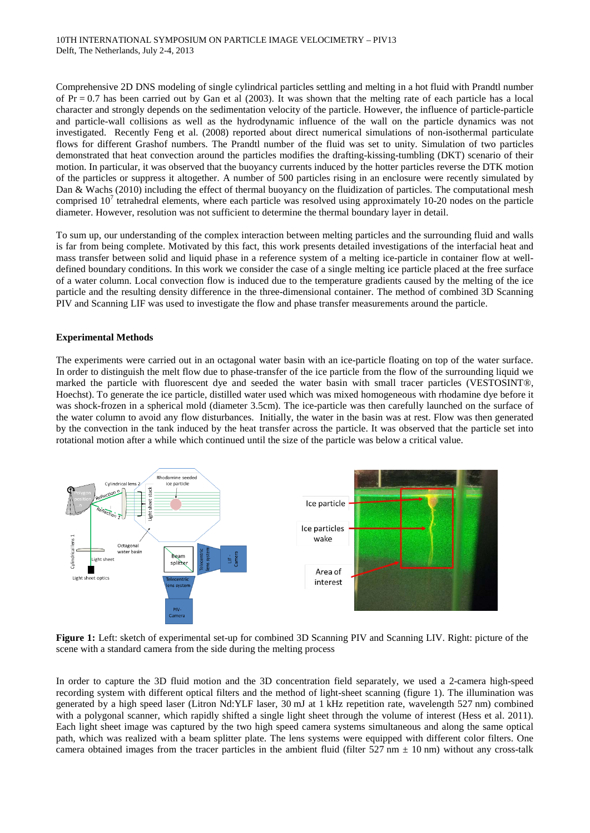Comprehensive 2D DNS modeling of single cylindrical particles settling and melting in a hot fluid with Prandtl number of  $Pr = 0.7$  has been carried out by Gan et al (2003). It was shown that the melting rate of each particle has a local character and strongly depends on the sedimentation velocity of the particle. However, the influence of particle-particle and particle-wall collisions as well as the hydrodynamic influence of the wall on the particle dynamics was not investigated. Recently Feng et al. (2008) reported about direct numerical simulations of non-isothermal particulate flows for different Grashof numbers. The Prandtl number of the fluid was set to unity. Simulation of two particles demonstrated that heat convection around the particles modifies the drafting-kissing-tumbling (DKT) scenario of their motion. In particular, it was observed that the buoyancy currents induced by the hotter particles reverse the DTK motion of the particles or suppress it altogether. A number of 500 particles rising in an enclosure were recently simulated by Dan & Wachs (2010) including the effect of thermal buoyancy on the fluidization of particles. The computational mesh comprised  $10<sup>7</sup>$  tetrahedral elements, where each particle was resolved using approximately 10-20 nodes on the particle diameter. However, resolution was not sufficient to determine the thermal boundary layer in detail.

To sum up, our understanding of the complex interaction between melting particles and the surrounding fluid and walls is far from being complete. Motivated by this fact, this work presents detailed investigations of the interfacial heat and mass transfer between solid and liquid phase in a reference system of a melting ice-particle in container flow at welldefined boundary conditions. In this work we consider the case of a single melting ice particle placed at the free surface of a water column. Local convection flow is induced due to the temperature gradients caused by the melting of the ice particle and the resulting density difference in the three-dimensional container. The method of combined 3D Scanning PIV and Scanning LIF was used to investigate the flow and phase transfer measurements around the particle.

## **Experimental Methods**

The experiments were carried out in an octagonal water basin with an ice-particle floating on top of the water surface. In order to distinguish the melt flow due to phase-transfer of the ice particle from the flow of the surrounding liquid we marked the particle with fluorescent dye and seeded the water basin with small tracer particles (VESTOSINT®, Hoechst). To generate the ice particle, distilled water used which was mixed homogeneous with rhodamine dye before it was shock-frozen in a spherical mold (diameter 3.5cm). The ice-particle was then carefully launched on the surface of the water column to avoid any flow disturbances. Initially, the water in the basin was at rest. Flow was then generated by the convection in the tank induced by the heat transfer across the particle. It was observed that the particle set into rotational motion after a while which continued until the size of the particle was below a critical value.



**Figure 1:** Left: sketch of experimental set-up for combined 3D Scanning PIV and Scanning LIV. Right: picture of the scene with a standard camera from the side during the melting process

In order to capture the 3D fluid motion and the 3D concentration field separately, we used a 2-camera high-speed recording system with different optical filters and the method of light-sheet scanning (figure 1). The illumination was generated by a high speed laser (Litron Nd:YLF laser, 30 mJ at 1 kHz repetition rate, wavelength 527 nm) combined with a polygonal scanner, which rapidly shifted a single light sheet through the volume of interest (Hess et al. 2011). Each light sheet image was captured by the two high speed camera systems simultaneous and along the same optical path, which was realized with a beam splitter plate. The lens systems were equipped with different color filters. One camera obtained images from the tracer particles in the ambient fluid (filter  $527 \text{ nm} \pm 10 \text{ nm}$ ) without any cross-talk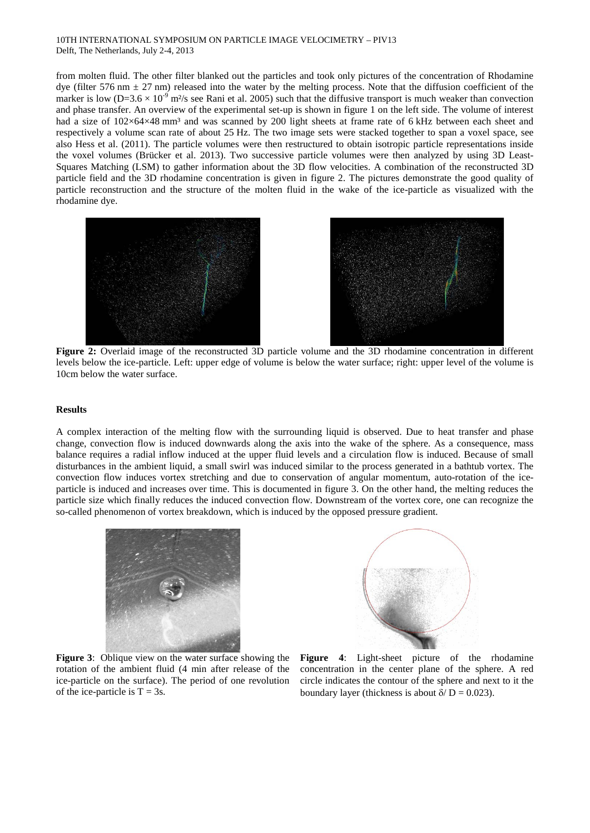#### 10TH INTERNATIONAL SYMPOSIUM ON PARTICLE IMAGE VELOCIMETRY – PIV13 Delft, The Netherlands, July 2-4, 2013

from molten fluid. The other filter blanked out the particles and took only pictures of the concentration of Rhodamine dye (filter 576 nm  $\pm$  27 nm) released into the water by the melting process. Note that the diffusion coefficient of the marker is low ( $D=3.6 \times 10^{-9}$  m<sup>2</sup>/s see Rani et al. 2005) such that the diffusive transport is much weaker than convection and phase transfer. An overview of the experimental set-up is shown in figure 1 on the left side. The volume of interest had a size of  $102\times64\times48$  mm<sup>3</sup> and was scanned by 200 light sheets at frame rate of 6 kHz between each sheet and respectively a volume scan rate of about 25 Hz. The two image sets were stacked together to span a voxel space, see also Hess et al. (2011). The particle volumes were then restructured to obtain isotropic particle representations inside the voxel volumes (Brücker et al. 2013). Two successive particle volumes were then analyzed by using 3D Least-Squares Matching (LSM) to gather information about the 3D flow velocities. A combination of the reconstructed 3D particle field and the 3D rhodamine concentration is given in figure 2. The pictures demonstrate the good quality of particle reconstruction and the structure of the molten fluid in the wake of the ice-particle as visualized with the rhodamine dye.



**Figure 2:** Overlaid image of the reconstructed 3D particle volume and the 3D rhodamine concentration in different levels below the ice-particle. Left: upper edge of volume is below the water surface; right: upper level of the volume is 10cm below the water surface.

#### **Results**

A complex interaction of the melting flow with the surrounding liquid is observed. Due to heat transfer and phase change, convection flow is induced downwards along the axis into the wake of the sphere. As a consequence, mass balance requires a radial inflow induced at the upper fluid levels and a circulation flow is induced. Because of small disturbances in the ambient liquid, a small swirl was induced similar to the process generated in a bathtub vortex. The convection flow induces vortex stretching and due to conservation of angular momentum, auto-rotation of the iceparticle is induced and increases over time. This is documented in figure 3. On the other hand, the melting reduces the particle size which finally reduces the induced convection flow. Downstream of the vortex core, one can recognize the so-called phenomenon of vortex breakdown, which is induced by the opposed pressure gradient.





**Figure 3**: Oblique view on the water surface showing the rotation of the ambient fluid (4 min after release of the ice-particle on the surface). The period of one revolution of the ice-particle is  $T = 3s$ .

**Figure 4**: Light-sheet picture of the rhodamine concentration in the center plane of the sphere. A red circle indicates the contour of the sphere and next to it the boundary layer (thickness is about  $\delta/D = 0.023$ ).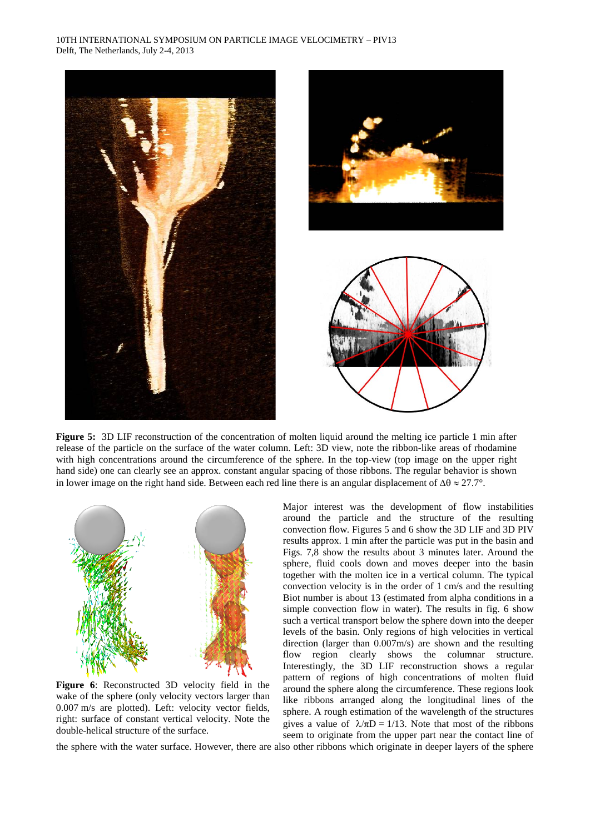

**Figure 5:** 3D LIF reconstruction of the concentration of molten liquid around the melting ice particle 1 min after release of the particle on the surface of the water column. Left: 3D view, note the ribbon-like areas of rhodamine with high concentrations around the circumference of the sphere. In the top-view (top image on the upper right hand side) one can clearly see an approx. constant angular spacing of those ribbons. The regular behavior is shown in lower image on the right hand side. Between each red line there is an angular displacement of  $\Delta\theta \approx 27.7^{\circ}$ .



**Figure 6**: Reconstructed 3D velocity field in the wake of the sphere (only velocity vectors larger than 0.007 m/s are plotted). Left: velocity vector fields, right: surface of constant vertical velocity. Note the double-helical structure of the surface.

Major interest was the development of flow instabilities around the particle and the structure of the resulting convection flow. Figures 5 and 6 show the 3D LIF and 3D PIV results approx. 1 min after the particle was put in the basin and Figs. 7,8 show the results about 3 minutes later. Around the sphere, fluid cools down and moves deeper into the basin together with the molten ice in a vertical column. The typical convection velocity is in the order of 1 cm/s and the resulting Biot number is about 13 (estimated from alpha conditions in a simple convection flow in water). The results in fig. 6 show such a vertical transport below the sphere down into the deeper levels of the basin. Only regions of high velocities in vertical direction (larger than 0.007m/s) are shown and the resulting flow region clearly shows the columnar structure. Interestingly, the 3D LIF reconstruction shows a regular pattern of regions of high concentrations of molten fluid around the sphere along the circumference. These regions look like ribbons arranged along the longitudinal lines of the sphere. A rough estimation of the wavelength of the structures gives a value of  $\lambda/\pi D = 1/13$ . Note that most of the ribbons seem to originate from the upper part near the contact line of

the sphere with the water surface. However, there are also other ribbons which originate in deeper layers of the sphere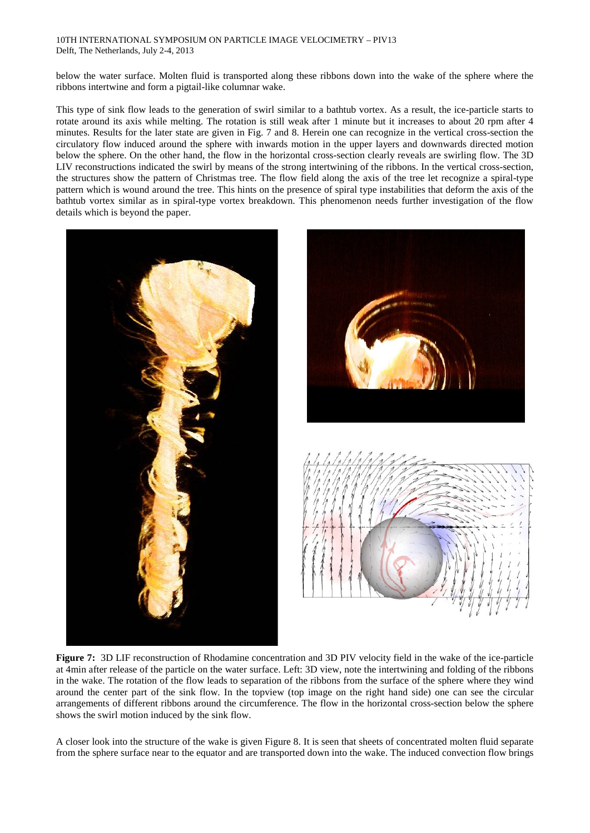#### 10TH INTERNATIONAL SYMPOSIUM ON PARTICLE IMAGE VELOCIMETRY – PIV13 Delft, The Netherlands, July 2-4, 2013

below the water surface. Molten fluid is transported along these ribbons down into the wake of the sphere where the ribbons intertwine and form a pigtail-like columnar wake.

This type of sink flow leads to the generation of swirl similar to a bathtub vortex. As a result, the ice-particle starts to rotate around its axis while melting. The rotation is still weak after 1 minute but it increases to about 20 rpm after 4 minutes. Results for the later state are given in Fig. 7 and 8. Herein one can recognize in the vertical cross-section the circulatory flow induced around the sphere with inwards motion in the upper layers and downwards directed motion below the sphere. On the other hand, the flow in the horizontal cross-section clearly reveals are swirling flow. The 3D LIV reconstructions indicated the swirl by means of the strong intertwining of the ribbons. In the vertical cross-section, the structures show the pattern of Christmas tree. The flow field along the axis of the tree let recognize a spiral-type pattern which is wound around the tree. This hints on the presence of spiral type instabilities that deform the axis of the bathtub vortex similar as in spiral-type vortex breakdown. This phenomenon needs further investigation of the flow details which is beyond the paper.





**Figure 7:** 3D LIF reconstruction of Rhodamine concentration and 3D PIV velocity field in the wake of the ice-particle at 4min after release of the particle on the water surface. Left: 3D view, note the intertwining and folding of the ribbons in the wake. The rotation of the flow leads to separation of the ribbons from the surface of the sphere where they wind around the center part of the sink flow. In the topview (top image on the right hand side) one can see the circular arrangements of different ribbons around the circumference. The flow in the horizontal cross-section below the sphere shows the swirl motion induced by the sink flow.

A closer look into the structure of the wake is given Figure 8. It is seen that sheets of concentrated molten fluid separate from the sphere surface near to the equator and are transported down into the wake. The induced convection flow brings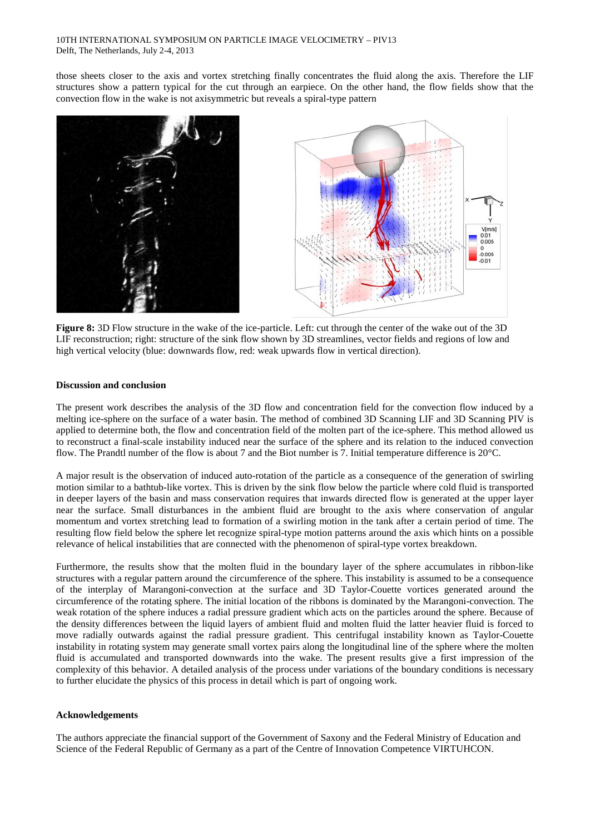those sheets closer to the axis and vortex stretching finally concentrates the fluid along the axis. Therefore the LIF structures show a pattern typical for the cut through an earpiece. On the other hand, the flow fields show that the convection flow in the wake is not axisymmetric but reveals a spiral-type pattern





**Figure 8:** 3D Flow structure in the wake of the ice-particle. Left: cut through the center of the wake out of the 3D LIF reconstruction; right: structure of the sink flow shown by 3D streamlines, vector fields and regions of low and high vertical velocity (blue: downwards flow, red: weak upwards flow in vertical direction).

### **Discussion and conclusion**

The present work describes the analysis of the 3D flow and concentration field for the convection flow induced by a melting ice-sphere on the surface of a water basin. The method of combined 3D Scanning LIF and 3D Scanning PIV is applied to determine both, the flow and concentration field of the molten part of the ice-sphere. This method allowed us to reconstruct a final-scale instability induced near the surface of the sphere and its relation to the induced convection flow. The Prandtl number of the flow is about 7 and the Biot number is 7. Initial temperature difference is 20°C.

A major result is the observation of induced auto-rotation of the particle as a consequence of the generation of swirling motion similar to a bathtub-like vortex. This is driven by the sink flow below the particle where cold fluid is transported in deeper layers of the basin and mass conservation requires that inwards directed flow is generated at the upper layer near the surface. Small disturbances in the ambient fluid are brought to the axis where conservation of angular momentum and vortex stretching lead to formation of a swirling motion in the tank after a certain period of time. The resulting flow field below the sphere let recognize spiral-type motion patterns around the axis which hints on a possible relevance of helical instabilities that are connected with the phenomenon of spiral-type vortex breakdown.

Furthermore, the results show that the molten fluid in the boundary layer of the sphere accumulates in ribbon-like structures with a regular pattern around the circumference of the sphere. This instability is assumed to be a consequence of the interplay of Marangoni-convection at the surface and 3D Taylor-Couette vortices generated around the circumference of the rotating sphere. The initial location of the ribbons is dominated by the Marangoni-convection. The weak rotation of the sphere induces a radial pressure gradient which acts on the particles around the sphere. Because of the density differences between the liquid layers of ambient fluid and molten fluid the latter heavier fluid is forced to move radially outwards against the radial pressure gradient. This centrifugal instability known as Taylor-Couette instability in rotating system may generate small vortex pairs along the longitudinal line of the sphere where the molten fluid is accumulated and transported downwards into the wake. The present results give a first impression of the complexity of this behavior. A detailed analysis of the process under variations of the boundary conditions is necessary to further elucidate the physics of this process in detail which is part of ongoing work.

#### **Acknowledgements**

The authors appreciate the financial support of the Government of Saxony and the Federal Ministry of Education and Science of the Federal Republic of Germany as a part of the Centre of Innovation Competence VIRTUHCON.